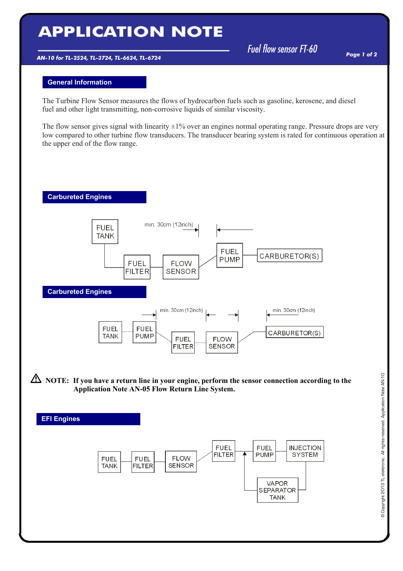## **APPLICATION NOTE**

AN-10 for TL-2524, TL-3724, TL-6624, TL-6724

Fuel flow sensor  $FT-60$ 

## General Information

The Turbine Flow Sensor measures the flows of hydrocarbon fuels such as gasoline, kerosene, and diesel fuel and other light transmitting, non-corrosive liquids of similar viscosity.

The flow sensor gives signal with linearity  $\pm 1\%$  over an engines normal operating range. Pressure drops are very low compared to other turbine flow transducers. The transducer bearing system is rated for continuous operation at the upper end of the flow range.



 $\overline{\phantom{a}}$ 

 $\overline{\phantom{a}}$ 



**A** NOTE: If you have a return line in your engine, perform the sensor connection according to the Application Note AN-05 Flow Return Line System.